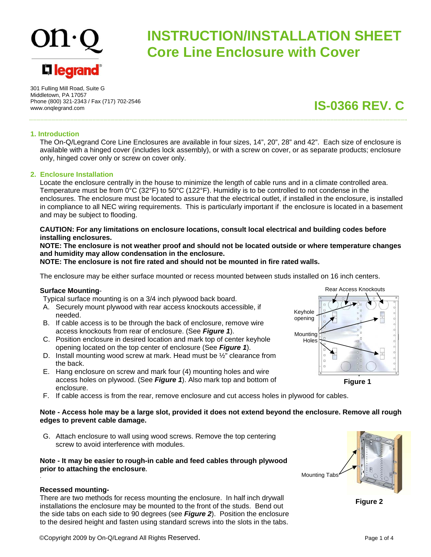# **L'1 legrand**

# **INSTRUCTION/INSTALLATION SHEET Core Line Enclosure with Cover**

301 Fulling Mill Road, Suite G Middletown, PA 17057 Phone (800) 321-2343 / Fax (717) 702-2546 www.onqlegrand.com

**IS-0366 REV. C**

#### **1. Introduction**

The On-Q/Legrand Core Line Enclosures are available in four sizes, 14", 20", 28" and 42". Each size of enclosure is available with a hinged cover (includes lock assembly), or with a screw on cover, or as separate products; enclosure only, hinged cover only or screw on cover only.

#### **2. Enclosure Installation**

Locate the enclosure centrally in the house to minimize the length of cable runs and in a climate controlled area. Temperature must be from 0°C (32°F) to 50°C (122°F). Humidity is to be controlled to not condense in the enclosures. The enclosure must be located to assure that the electrical outlet, if installed in the enclosure, is installed in compliance to all NEC wiring requirements. This is particularly important if the enclosure is located in a basement and may be subject to flooding.

#### **CAUTION: For any limitations on enclosure locations, consult local electrical and building codes before installing enclosures.**

**NOTE: The enclosure is not weather proof and should not be located outside or where temperature changes and humidity may allow condensation in the enclosure.** 

**NOTE: The enclosure is not fire rated and should not be mounted in fire rated walls.** 

The enclosure may be either surface mounted or recess mounted between studs installed on 16 inch centers.

#### **Surface Mounting**-

Typical surface mounting is on a 3/4 inch plywood back board.

- A. Securely mount plywood with rear access knockouts accessible, if needed.
- B. If cable access is to be through the back of enclosure, remove wire access knockouts from rear of enclosure. (See *Figure 1*).
- C. Position enclosure in desired location and mark top of center keyhole opening located on the top center of enclosure (See *Figure 1*).
- D. Install mounting wood screw at mark. Head must be  $\frac{1}{2}$  clearance from the back.
- E. Hang enclosure on screw and mark four (4) mounting holes and wire access holes on plywood. (See *Figure 1*). Also mark top and bottom of enclosure.
- F. If cable access is from the rear, remove enclosure and cut access holes in plywood for cables.

#### **Note - Access hole may be a large slot, provided it does not extend beyond the enclosure. Remove all rough edges to prevent cable damage.**

G. Attach enclosure to wall using wood screws. Remove the top centering screw to avoid interference with modules

#### **Note - It may be easier to rough-in cable and feed cables through plywood prior to attaching the enclosure.**

#### **Recessed mounting-**

.

There are two methods for recess mounting the enclosure. In half inch drywall installations the enclosure may be mounted to the front of the studs. Bend out the side tabs on each side to 90 degrees (see *Figure 2*). Position the enclosure to the desired height and fasten using standard screws into the slots in the tabs.





**Figure 2** 

Mounting Tabs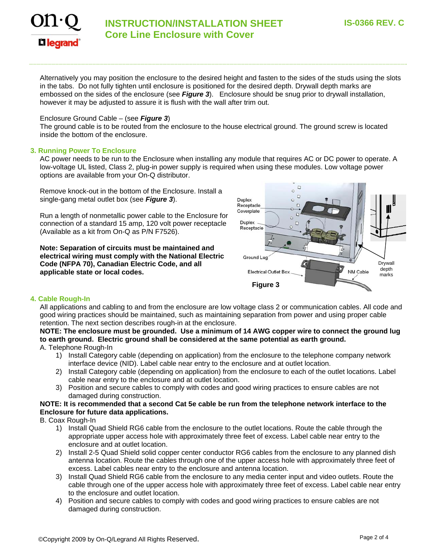

## **INSTRUCTION/INSTALLATION SHEET Core Line Enclosure with Cover**

Alternatively you may position the enclosure to the desired height and fasten to the sides of the studs using the slots in the tabs. Do not fully tighten until enclosure is positioned for the desired depth. Drywall depth marks are embossed on the sides of the enclosure (see *Figure 3*). Enclosure should be snug prior to drywall installation, however it may be adjusted to assure it is flush with the wall after trim out.

#### Enclosure Ground Cable – (see *Figure 3*)

The ground cable is to be routed from the enclosure to the house electrical ground. The ground screw is located inside the bottom of the enclosure.

#### **3. Running Power To Enclosure**

AC power needs to be run to the Enclosure when installing any module that requires AC or DC power to operate. A low-voltage UL listed, Class 2, plug-in power supply is required when using these modules. Low voltage power options are available from your On-Q distributor.

Remove knock-out in the bottom of the Enclosure. Install a single-gang metal outlet box (see *Figure 3*).

Run a length of nonmetallic power cable to the Enclosure for connection of a standard 15 amp, 120 volt power receptacle (Available as a kit from On-Q as P/N F7526).

**Note: Separation of circuits must be maintained and electrical wiring must comply with the National Electric Code (NFPA 70), Canadian Electric Code, and all applicable state or local codes.** 



#### **4. Cable Rough-In**

All applications and cabling to and from the enclosure are low voltage class 2 or communication cables. All code and good wiring practices should be maintained, such as maintaining separation from power and using proper cable retention. The next section describes rough-in at the enclosure.

### **NOTE: The enclosure must be grounded. Use a minimum of 14 AWG copper wire to connect the ground lug to earth ground. Electric ground shall be considered at the same potential as earth ground.**

#### A. Telephone Rough-In

- 1) Install Category cable (depending on application) from the enclosure to the telephone company network interface device (NID). Label cable near entry to the enclosure and at outlet location.
- 2) Install Category cable (depending on application) from the enclosure to each of the outlet locations. Label cable near entry to the enclosure and at outlet location.
- 3) Position and secure cables to comply with codes and good wiring practices to ensure cables are not damaged during construction.

#### **NOTE: It is recommended that a second Cat 5e cable be run from the telephone network interface to the Enclosure for future data applications.**

- B. Coax Rough-In
	- 1) Install Quad Shield RG6 cable from the enclosure to the outlet locations. Route the cable through the appropriate upper access hole with approximately three feet of excess. Label cable near entry to the enclosure and at outlet location.
	- 2) Install 2-5 Quad Shield solid copper center conductor RG6 cables from the enclosure to any planned dish antenna location. Route the cables through one of the upper access hole with approximately three feet of excess. Label cables near entry to the enclosure and antenna location.
	- 3) Install Quad Shield RG6 cable from the enclosure to any media center input and video outlets. Route the cable through one of the upper access hole with approximately three feet of excess. Label cable near entry to the enclosure and outlet location.
	- 4) Position and secure cables to comply with codes and good wiring practices to ensure cables are not damaged during construction.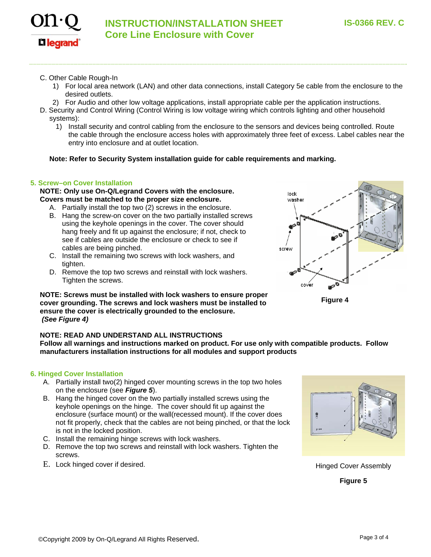

**INSTRUCTION/INSTALLATION SHEET Core Line Enclosure with Cover** 

C. Other Cable Rough-In

**L1 legrand** 

- 1) For local area network (LAN) and other data connections, install Category 5e cable from the enclosure to the desired outlets.
- 2) For Audio and other low voltage applications, install appropriate cable per the application instructions.
- D. Security and Control Wiring (Control Wiring is low voltage wiring which controls lighting and other household systems):
	- 1) Install security and control cabling from the enclosure to the sensors and devices being controlled. Route the cable through the enclosure access holes with approximately three feet of excess. Label cables near the entry into enclosure and at outlet location.

#### **Note: Refer to Security System installation guide for cable requirements and marking.**

#### **5. Screw–on Cover Installation**

#### **NOTE: Only use On-Q/Legrand Covers with the enclosure. Covers must be matched to the proper size enclosure.**

- A. Partially install the top two (2) screws in the enclosure.
- B. Hang the screw-on cover on the two partially installed screws using the keyhole openings in the cover. The cover should hang freely and fit up against the enclosure; if not, check to see if cables are outside the enclosure or check to see if cables are being pinched.
- C. Install the remaining two screws with lock washers, and tighten.
- D. Remove the top two screws and reinstall with lock washers. Tighten the screws.

#### **NOTE: Screws must be installed with lock washers to ensure proper cover grounding. The screws and lock washers must be installed to ensure the cover is electrically grounded to the enclosure.**   *(See Figure 4)*

#### **NOTE: READ AND UNDERSTAND ALL INSTRUCTIONS**

**Follow all warnings and instructions marked on product. For use only with compatible products. Follow manufacturers installation instructions for all modules and support products** 

#### **6. Hinged Cover Installation**

- A. Partially install two(2) hinged cover mounting screws in the top two holes on the enclosure (see *Figure 5*).
- B. Hang the hinged cover on the two partially installed screws using the keyhole openings on the hinge. The cover should fit up against the enclosure (surface mount) or the wall(recessed mount). If the cover does not fit properly, check that the cables are not being pinched, or that the lock is not in the locked position.
- C. Install the remaining hinge screws with lock washers.
- D. Remove the top two screws and reinstall with lock washers. Tighten the screws.
- E. Lock hinged cover if desired. Here is a state of the state of the Hinged Cover Assembly



**Figure 5** 

lock washer screw

cover

**Figure 4**